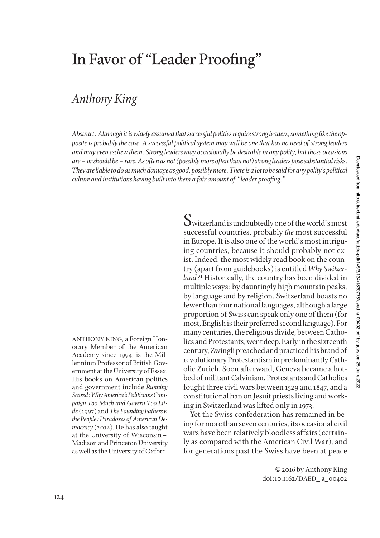## **In Favor of "Leader Proofing"**

## *Anthony King*

*Abstract: Although it is widely assumed that successful polities require strong leaders, something like the opposite is probably the case. A successful political system may well be one that has no need of strong leaders and may even eschew them. Strong leaders may occasionally be desirable in any polity, but those occasions are–or should be–rare. As often as not (possibly more often than not) strong leaders pose substantial risks. They are liable to do as much damage as good, possibly more. There is a lot to be said for any polity's political culture and institutions having built into them a fair amount of "leader proofing."* 

ANTHONY KING, a Foreign Honorary Member of the American Academy since 1994, is the Millennium Professor of British Government at the University of Essex. His books on American politics and government include *Running Scared: Why America's Politicians Campaign Too Much and Govern Too Little* (1997) and *The Founding Fathers v. the People: Paradoxes of American Democracy* (2012). He has also taught at the University of Wisconsin– Madison and Princeton University as well as the University of Oxford.

Switzerland is undoubtedly one of the world's most successful countries, probably *the* most successful in Europe. It is also one of the world's most intriguing countries, because it should probably not exist. Indeed, the most widely read book on the country (apart from guidebooks) is entitled *Why Switzer*land?<sup>1</sup> Historically, the country has been divided in multiple ways: by dauntingly high mountain peaks, by language and by religion. Switzerland boasts no fewer than four national languages, although a large proportion of Swiss can speak only one of them (for most, English is their preferred second language). For many centuries, the religious divide, between Catholics and Protestants, went deep. Early in the sixteenth century, Zwingli preached and practiced his brand of revolutionary Protestantism in predominantly Catholic Zurich. Soon afterward, Geneva became a hotbed of militant Calvinism. Protestants and Catholics fought three civil wars between 1529 and 1847, and a constitutional ban on Jesuit priests living and working in Switzerland was lifted only in 1973.

Yet the Swiss confederation has remained in being for more than seven centuries, its occasional civil wars have been relatively bloodless affairs (certainly as compared with the American Civil War), and for generations past the Swiss have been at peace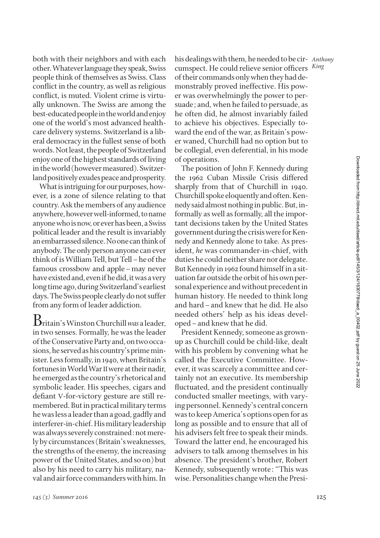Downloaded from http://direct.mit.edu/daed/article-pdf/145/3/124/1830778/daed\_a\_00402.pdf by guest on 25 June 2022 Downloaded from http://direct.mit.edu/daed/article-pdf/145/3/124/1830778/daed\_a\_00402.pdf by guest on 25 June 2022

both with their neighbors and with each other. Whatever language they speak, Swiss people think of themselves as Swiss. Class conflict in the country, as well as religious conflict, is muted. Violent crime is virtually unknown. The Swiss are among the best-educated people in the world and enjoy one of the world's most advanced healthcare delivery systems. Switzerland is a liberal democracy in the fullest sense of both words. Not least, the people of Switzerland enjoy one of the highest standards of living in the world (however measured). Switzerland positively exudes peace and prosperity.

What is intriguing for our purposes, however, is a zone of silence relating to that country. Ask the members of any audience anywhere, however well-informed, to name anyone who is now, or ever has been, a Swiss political leader and the result is invariably an embarrassed silence. No one can think of anybody. The only person anyone can ever think of is William Tell, but Tell–he of the famous crossbow and apple–may never have existed and, even if he did, it was a very long time ago, during Switzerland's earliest days. The Swiss people clearly do not suffer from any form of leader addiction.

Britain's Winston Churchill *was* a leader, in two senses. Formally, he was the leader of the Conservative Party and, on two occasions, he served as his country's prime minister. Less formally, in 1940, when Britain's fortunes in World War II were at their nadir, he emerged as the country's rhetorical and symbolic leader. His speeches, cigars and defiant V-for-victory gesture are still remembered. But in practical military terms he was less a leader than a goad, gadfly and interferer-in-chief. His military leadership was always severely constrained: not merely by circumstances (Britain's weaknesses, the strengths of the enemy, the increasing power of the United States, and so on) but also by his need to carry his military, naval and air force commanders with him. In

his dealings with them, he needed to be cir- Anthony cumspect. He could relieve senior officers King of their commands only when they had demonstrably proved ineffective. His power was overwhelmingly the power to persuade; and, when he failed to persuade, as he often did, he almost invariably failed to achieve his objectives. Especially toward the end of the war, as Britain's power waned, Churchill had no option but to be collegial, even deferential, in his mode of operations.

The position of John F. Kennedy during the 1962 Cuban Missile Crisis differed sharply from that of Churchill in 1940. Churchill spoke eloquently and often. Kennedy said almost nothing in public. But, informally as well as formally, all the important decisions taken by the United States government during the crisis were for Kennedy and Kennedy alone to take. As president, *he* was commander-in-chief, with duties he could neither share nor delegate. But Kennedy in 1962 found himself in a situation far outside the orbit of his own personal experience and without precedent in human history. He needed to think long and hard–and knew that he did. He also needed others' help as his ideas developed–and knew that he did.

President Kennedy, someone as grownup as Churchill could be child-like, dealt with his problem by convening what he called the Executive Committee. However, it was scarcely a committee and certainly not an executive. Its membership fluctuated, and the president continually conducted smaller meetings, with varying personnel. Kennedy's central concern was to keep America's options open for as long as possible and to ensure that all of his advisers felt free to speak their minds. Toward the latter end, he encouraged his advisers to talk among themselves in his absence. The president's brother, Robert Kennedy, subsequently wrote: "This was wise. Personalities change when the Presi-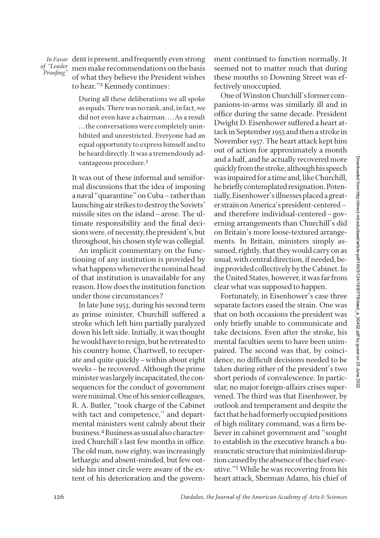*In Favor*  dent is present, and frequently even strong *of "Leader*  men make recommendations on the basis of what they believe the President wishes to hear."2 Kennedy continues:

> During all these deliberations we all spoke as equals. There was no rank, and, in fact, we did not even have a chairman. . . . As a result ... the conversations were completely uninhibited and unrestricted. Everyone had an equal opportunity to express himself and to be heard directly. It was a tremendously advantageous procedure.3

It was out of these informal and semiformal discussions that the idea of imposing a naval "quarantine" on Cuba–rather than launching air strikes to destroy the Soviets' missile sites on the island–arose. The ultimate responsibility and the final decisions were, of necessity, the president's, but throughout, his chosen style was collegial.

An implicit commentary on the functioning of any institution is provided by what happens whenever the nominal head of that institution is unavailable for any reason. How does the institution function under those circumstances?

In late June 1953, during his second term as prime minister, Churchill suffered a stroke which left him partially paralyzed down his left side. Initially, it was thought he would have to resign, but he retreated to his country home, Chartwell, to recuperate and quite quickly–within about eight weeks–he recovered. Although the prime minister was largely incapacitated, the consequences for the conduct of government were minimal. One of his senior colleagues, R. A. Butler, "took charge of the Cabinet with tact and competence," and departmental ministers went calmly about their business.4 Business as usual also characterized Churchill's last few months in office. The old man, now eighty, was increasingly lethargic and absent-minded, but few outside his inner circle were aware of the extent of his deterioration and the government continued to function normally. It seemed not to matter much that during these months 10 Downing Street was effectively unoccupied.

One of Winston Churchill's former companions-in-arms was similarly ill and in office during the same decade. President Dwight D. Eisenhower suffered a heart attack in September 1955 and then a stroke in November 1957. The heart attack kept him out of action for approximately a month and a half, and he actually recovered more quickly from the stroke, although his speech was impaired for a time and, like Churchill, he briefly contemplated resignation. Potentially, Eisenhower's illnesses placed a greater strain on America's president-centered– and therefore individual-centered–governing arrangements than Churchill's did on Britain's more loose-textured arrangements. In Britain, ministers simply assumed, rightly, that they would carry on as usual, with central direction, if needed, being provided collectively by the Cabinet. In the United States, however, it was far from clear what was supposed to happen.

Fortunately, in Eisenhower's case three separate factors eased the strain. One was that on both occasions the president was only briefly unable to communicate and take decisions. Even after the stroke, his mental faculties seem to have been unimpaired. The second was that, by coincidence, no difficult decisions needed to be taken during either of the president's two short periods of convalescence. In particular, no major foreign-affairs crises supervened. The third was that Eisenhower, by outlook and temperament and despite the fact that he had formerly occupied positions of high military command, was a firm believer in cabinet government and "sought to establish in the executive branch a bureaucratic structure that minimized disruption caused by the absence of the chief executive."5 While he was recovering from his heart attack, Sherman Adams, his chief of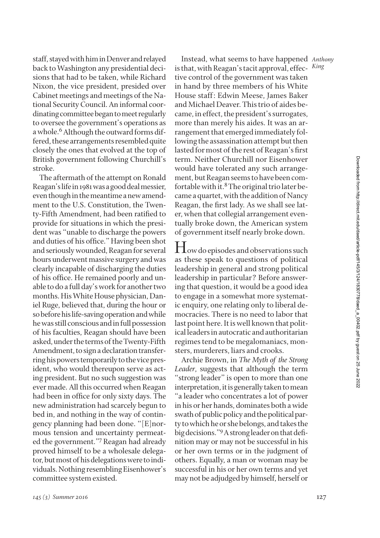Downloaded from http://direct.mit.edu/daed/article-pdf/145/3/124/1830778/daed\_a\_00402.pdf by guest on 25 June 2022 Downloaded from http://direct.mit.edu/daed/article-pdf/145/3/124/1830778/daed\_a\_00402.pdf by guest on 25 June 2022

staff, stayed with him in Denver and relayed back to Washington any presidential decisions that had to be taken, while Richard Nixon, the vice president, presided over Cabinet meetings and meetings of the National Security Council. An informal coordinating committee began to meet regularly to oversee the government's operations as a whole.<sup>6</sup> Although the outward forms differed, these arrangements resembled quite closely the ones that evolved at the top of British government following Churchill's stroke.

The aftermath of the attempt on Ronald Reagan's life in 1981 was a good deal messier, even though in the meantime a new amendment to the U.S. Constitution, the Twenty-Fifth Amendment, had been ratified to provide for situations in which the president was "unable to discharge the powers and duties of his office." Having been shot and seriously wounded, Reagan for several hours underwent massive surgery and was clearly incapable of discharging the duties of his office. He remained poorly and unable to do a full day's work for another two months. His White House physician, Daniel Ruge, believed that, during the hour or so before his life-saving operation and while he was still conscious and in full possession of his faculties, Reagan should have been asked, under the terms of the Twenty-Fifth Amendment, to sign a declaration transferring his powers temporarily to the vice president, who would thereupon serve as acting president. But no such suggestion was ever made. All this occurred when Reagan had been in office for only sixty days. The new administration had scarcely begun to bed in, and nothing in the way of contingency planning had been done. "[E]normous tension and uncertainty permeated the government."7 Reagan had already proved himself to be a wholesale delegator, but most of his delegations were to individuals. Nothing resembling Eisenhower's committee system existed.

Instead, what seems to have happened Anthony is that, with Reagan's tacit approval, effec- King tive control of the government was taken in hand by three members of his White House staff: Edwin Meese, James Baker and Michael Deaver. This trio of aides became, in effect, the president's surrogates, more than merely his aides. It was an arrangement that emerged immediately following the assassination attempt but then lasted for most of the rest of Reagan's first term. Neither Churchill nor Eisenhower would have tolerated any such arrangement, but Reagan seems to have been comfortable with it.<sup>8</sup> The original trio later became a quartet, with the addition of Nancy Reagan, the first lady. As we shall see later, when that collegial arrangement eventually broke down, the American system of government itself nearly broke down.

 $\Pi$ ow do episodes and observations such as these speak to questions of political leadership in general and strong political leadership in particular? Before answering that question, it would be a good idea to engage in a somewhat more systematic enquiry, one relating only to liberal democracies. There is no need to labor that last point here. It is well known that political leaders in autocratic and authoritarian regimes tend to be megalomaniacs, monsters, murderers, liars and crooks.

Archie Brown, in *The Myth of the Strong Leader*, suggests that although the term "strong leader" is open to more than one interpretation, it is generally taken to mean "a leader who concentrates a lot of power in his or her hands, dominates both a wide swath of public policy and the political party to which he or she belongs, and takes the big decisions."9 A strong leader on that definition may or may not be successful in his or her own terms or in the judgment of others. Equally, a man or woman may be successful in his or her own terms and yet may not be adjudged by himself, herself or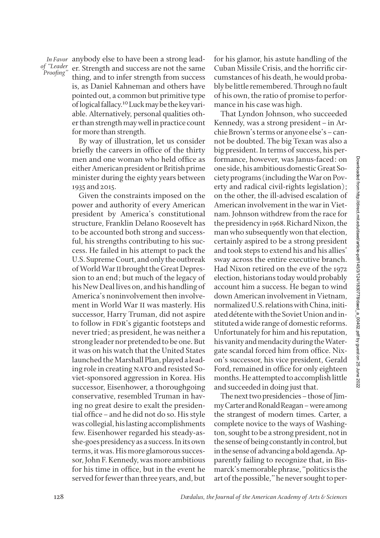*In Favor*  anybody else to have been a strong lead*of "Leader*  er. Strength and success are not the same thing, and to infer strength from success is, as Daniel Kahneman and others have pointed out, a common but primitive type of logical fallacy.10 Luck may be the key variable. Alternatively, personal qualities other than strength may well in practice count for more than strength.

> By way of illustration, let us consider briefly the careers in office of the thirty men and one woman who held office as either American president or British prime minister during the eighty years between 1935 and 2015.

> Given the constraints imposed on the power and authority of every American president by America's constitutional structure, Franklin Delano Roosevelt has to be accounted both strong and successful, his strengths contributing to his success. He failed in his attempt to pack the U.S. Supreme Court, and only the outbreak of World War II brought the Great Depression to an end; but much of the legacy of his New Deal lives on, and his handling of America's noninvolvement then involvement in World War II was masterly. His successor, Harry Truman, did not aspire to follow in FDR's gigantic footsteps and never tried; as president, he was neither a strong leader nor pretended to be one. But it was on his watch that the United States launched the Marshall Plan, played a leading role in creating NATO and resisted Soviet-sponsored aggression in Korea. His successor, Eisenhower, a thoroughgoing conservative, resembled Truman in having no great desire to exalt the presidential office–and he did not do so. His style was collegial, his lasting accomplishments few. Eisenhower regarded his steady-asshe-goes presidency as a success. In its own terms, it was. His more glamorous successor, John F. Kennedy, was more ambitious for his time in office, but in the event he served for fewer than three years, and, but

for his glamor, his astute handling of the Cuban Missile Crisis, and the horrific circumstances of his death, he would probably be little remembered. Through no fault of his own, the ratio of promise to performance in his case was high.

That Lyndon Johnson, who succeeded Kennedy, was a strong president–in Archie Brown's terms or anyone else's–cannot be doubted. The big Texan was also a big president. In terms of success, his performance, however, was Janus-faced: on one side, his ambitious domestic Great Society programs (including the War on Poverty and radical civil-rights legislation); on the other, the ill-advised escalation of American involvement in the war in Vietnam. Johnson withdrew from the race for the presidency in 1968. Richard Nixon, the man who subsequently won that election, certainly aspired to be a strong president and took steps to extend his and his allies' sway across the entire executive branch. Had Nixon retired on the eve of the 1972 election, historians today would probably account him a success. He began to wind down American involvement in Vietnam, normalized U.S. relations with China, initiated détente with the Soviet Union and instituted a wide range of domestic reforms. Unfortunately for him and his reputation, his vanity and mendacity during the Watergate scandal forced him from office. Nixon's successor, his vice president, Gerald Ford, remained in office for only eighteen months. He attempted to accomplish little and succeeded in doing just that.

The next two presidencies–those of Jimmy Carter and Ronald Reagan–were among the strangest of modern times. Carter, a complete novice to the ways of Washington, sought to be a strong president, not in the sense of being constantly in control, but in the sense of advancing a bold agenda. Apparently failing to recognize that, in Bismarck's memorable phrase, "politics is the art of the possible," he never sought to per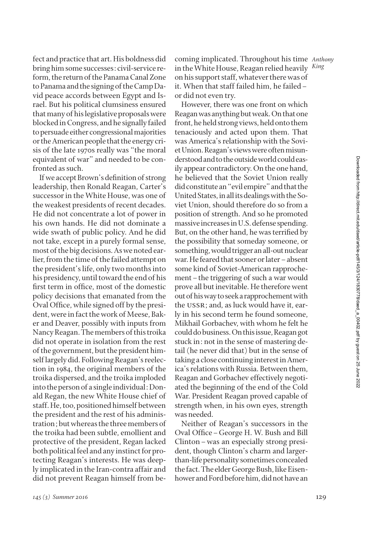fect and practice that art. His boldness did bring him some successes: civil-service reform, the return of the Panama Canal Zone to Panama and the signing of the Camp David peace accords between Egypt and Israel. But his political clumsiness ensured that many of his legislative proposals were blocked in Congress, and he signally failed to persuade either congressional majorities or the American people that the energy crisis of the late 1970s really was "the moral equivalent of war" and needed to be confronted as such.

If we accept Brown's definition of strong leadership, then Ronald Reagan, Carter's successor in the White House, was one of the weakest presidents of recent decades. He did not concentrate a lot of power in his own hands. He did not dominate a wide swath of public policy. And he did not take, except in a purely formal sense, most of the big decisions. As we noted earlier, from the time of the failed attempt on the president's life, only two months into his presidency, until toward the end of his first term in office, most of the domestic policy decisions that emanated from the Oval Office, while signed off by the president, were in fact the work of Meese, Baker and Deaver, possibly with inputs from Nancy Reagan. The members of this troika did not operate in isolation from the rest of the government, but the president himself largely did. Following Reagan's reelection in 1984, the original members of the troika dispersed, and the troika imploded into the person of a single individual: Donald Regan, the new White House chief of staff. He, too, positioned himself between the president and the rest of his administration; but whereas the three members of the troika had been subtle, emollient and protective of the president, Regan lacked both political feel and any instinct for protecting Reagan's interests. He was deeply implicated in the Iran-contra affair and did not prevent Reagan himself from be-

coming implicated. Throughout his time Anthony *King* in the White House, Reagan relied heavily on his support staff, whatever there was of it. When that staff failed him, he failed– or did not even try.

However, there was one front on which Reagan was anything but weak. On that one front, he held strong views, held onto them tenaciously and acted upon them. That was America's relationship with the Soviet Union. Reagan's views were often misunderstood and to the outside world could easily appear contradictory. On the one hand, he believed that the Soviet Union really did constitute an "evil empire" and that the United States, in all its dealings with the Soviet Union, should therefore do so from a position of strength. And so he promoted massive increases in U.S. defense spending. But, on the other hand, he was terrified by the possibility that someday someone, or something, would trigger an all-out nuclear war. He feared that sooner or later–absent some kind of Soviet-American rapprochement – the triggering of such a war would prove all but inevitable. He therefore went out of his way to seek a rapprochement with the ussr; and, as luck would have it, early in his second term he found someone, Mikhail Gorbachev, with whom he felt he could do business. On this issue, Reagan got stuck in: not in the sense of mastering detail (he never did that) but in the sense of taking a close continuing interest in America's relations with Russia. Between them, Reagan and Gorbachev effectively negotiated the beginning of the end of the Cold War. President Reagan proved capable of strength when, in his own eyes, strength was needed.

Neither of Reagan's successors in the Oval Office–George H. W. Bush and Bill Clinton–was an especially strong president, though Clinton's charm and largerthan-life personality sometimes concealed the fact. The elder George Bush, like Eisenhower and Ford before him, did not have an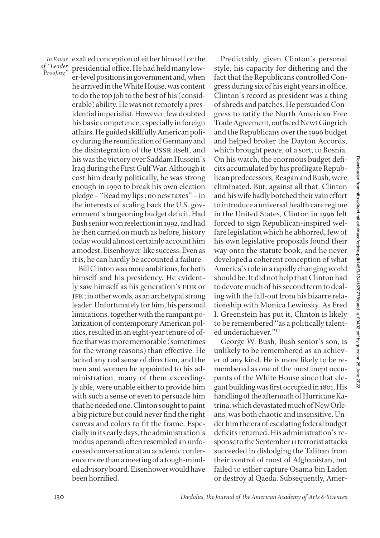*of "Leader* 

*In Favor*  exalted conception of either himself or the <sup>*f "Leader*" presidential office. He had held many low-</sup> er-level positions in government and, when he arrived in the White House, was content to do the top job to the best of his (considerable) ability. He was not remotely a presidential imperialist. However, few doubted his basic competence, especially in foreign affairs. He guided skillfully American policy during the reunification of Germany and the disintegration of the USSR itself, and his was the victory over Saddam Hussein's Iraq during the First Gulf War. Although it cost him dearly politically, he was strong enough in 1990 to break his own election pledge–"Read my lips: no new taxes"–in the interests of scaling back the U.S. government's burgeoning budget deficit. Had Bush senior won reelection in 1992, and had he then carried on much as before, history today would almost certainly account him a modest, Eisenhower-like success. Even as it is, he can hardly be accounted a failure.

Bill Clinton was more ambitious, for both himself and his presidency. He evidently saw himself as his generation's FDR or jfk; in other words, as an archetypal strong leader. Unfortunately for him, his personal limitations, together with the rampant polarization of contemporary American politics, resulted in an eight-year tenure of office that was more memorable (sometimes for the wrong reasons) than effective. He lacked any real sense of direction, and the men and women he appointed to his administration, many of them exceedingly able, were unable either to provide him with such a sense or even to persuade him that he needed one. Clinton sought to paint a big picture but could never find the right canvas and colors to fit the frame. Especially in its early days, the administration's modus operandi often resembled an unfocussed conversation at an academic conference more than a meeting of a tough-minded advisory board. Eisenhower would have been horrified.

Predictably, given Clinton's personal style, his capacity for dithering and the fact that the Republicans controlled Congress during six of his eight years in office, Clinton's record as president was a thing of shreds and patches. He persuaded Congress to ratify the North American Free Trade Agreement, outfaced Newt Gingrich and the Republicans over the 1996 budget and helped broker the Dayton Accords, which brought peace, of a sort, to Bosnia. On his watch, the enormous budget deficits accumulated by his profligate Republican predecessors, Reagan and Bush, were eliminated. But, against all that, Clinton and his wife badly botched their vain effort to introduce a universal health care regime in the United States, Clinton in 1996 felt forced to sign Republican-inspired welfare legislation which he abhorred, few of his own legislative proposals found their way onto the statute book, and he never developed a coherent conception of what America's role in a rapidly changing world should be. It did not help that Clinton had to devote much of his second term to dealing with the fall-out from his bizarre relationship with Monica Lewinsky. As Fred I. Greenstein has put it, Clinton is likely to be remembered "as a politically talented underachiever."11

George W. Bush, Bush senior's son, is unlikely to be remembered as an achiever of any kind. He is more likely to be remembered as one of the most inept occupants of the White House since that elegant building was first occupied in 1801. His handling of the aftermath of Hurricane Katrina, which devastated much of New Orleans, was both chaotic and insensitive. Under him the era of escalating federal budget deficits returned. His administration's response to the September 11 terrorist attacks succeeded in dislodging the Taliban from their control of most of Afghanistan, but failed to either capture Osama bin Laden or destroy al Qaeda. Subsequently, Amer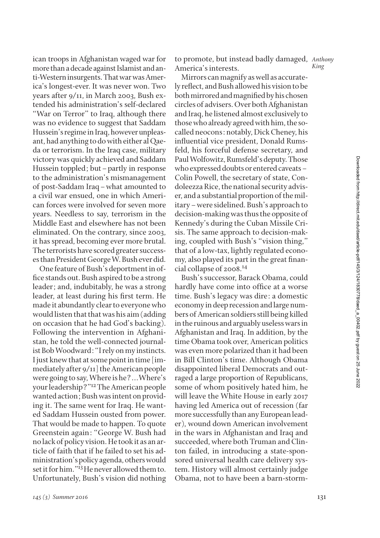ican troops in Afghanistan waged war for more than a decade against Islamist and anti-Western insurgents. That war was America's longest-ever. It was never won. Two years after 9/11, in March 2003, Bush extended his administration's self-declared "War on Terror" to Iraq, although there was no evidence to suggest that Saddam Hussein's regime in Iraq, however unpleasant, had anything to do with either al Qaeda or terrorism. In the Iraq case, military victory was quickly achieved and Saddam Hussein toppled; but–partly in response to the administration's mismanagement of post-Saddam Iraq–what amounted to a civil war ensued, one in which American forces were involved for seven more years. Needless to say, terrorism in the Middle East and elsewhere has not been eliminated. On the contrary, since 2003, it has spread, becoming ever more brutal. The terrorists have scored greater successes than President George W. Bush ever did.

One feature of Bush's deportment in office stands out. Bush aspired to be a strong leader; and, indubitably, he was a strong leader, at least during his first term. He made it abundantly clear to everyone who would listen that that was his aim (adding on occasion that he had God's backing). Following the intervention in Afghanistan, he told the well-connected journalist Bob Woodward: "I rely on my instincts. I just knew that at some point in time [immediately after 9/11] the American people were going to say, Where is he?...Where's your leadership?"12 The American people wanted action; Bush was intent on providing it. The same went for Iraq. He wanted Saddam Hussein ousted from power. That would be made to happen. To quote Greenstein again: "George W. Bush had no lack of policy vision. He took it as an article of faith that if he failed to set his administration's policy agenda, others would set it for him."13 He never allowed them to. Unfortunately, Bush's vision did nothing

to promote, but instead badly damaged, Anthony *King* America's interests.

Mirrors can magnify as well as accurately reflect, and Bush allowed his vision to be both mirrored and magnified by his chosen circles of advisers. Over both Afghanistan and Iraq, he listened almost exclusively to those who already agreed with him, the socalled neocons: notably, Dick Cheney, his influential vice president, Donald Rumsfeld, his forceful defense secretary, and Paul Wolfowitz, Rumsfeld's deputy. Those who expressed doubts or entered caveats– Colin Powell, the secretary of state, Condoleezza Rice, the national security adviser, and a substantial proportion of the military–were sidelined. Bush's approach to decision-making was thus the opposite of Kennedy's during the Cuban Missile Crisis. The same approach to decision-making, coupled with Bush's "vision thing," that of a low-tax, lightly regulated economy, also played its part in the great financial collapse of 2008.14

Bush's successor, Barack Obama, could hardly have come into office at a worse time. Bush's legacy was dire: a domestic economy in deep recession and large numbers of American soldiers still being killed in the ruinous and arguably useless wars in Afghanistan and Iraq. In addition, by the time Obama took over, American politics was even more polarized than it had been in Bill Clinton's time. Although Obama disappointed liberal Democrats and outraged a large proportion of Republicans, some of whom positively hated him, he will leave the White House in early 2017 having led America out of recession (far more successfully than any European leader), wound down American involvement in the wars in Afghanistan and Iraq and succeeded, where both Truman and Clinton failed, in introducing a state-sponsored universal health care delivery system. History will almost certainly judge Obama, not to have been a barn-storm-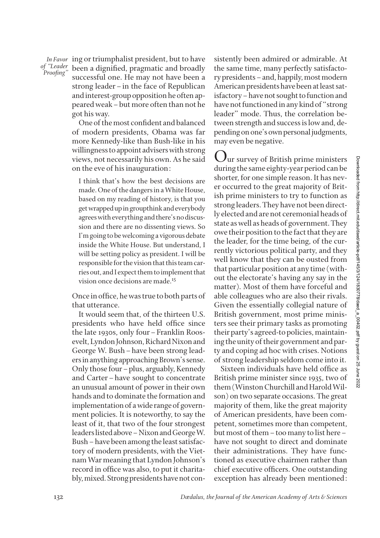*In Favor*  ing or triumphalist president, but to have *of "Leader*  been a dignified, pragmatic and broadly successful one. He may not have been a strong leader–in the face of Republican and interest-group opposition he often appeared weak–but more often than not he got his way.

> One of the most confident and balanced of modern presidents, Obama was far more Kennedy-like than Bush-like in his willingness to appoint advisers with strong views, not necessarily his own. As he said on the eve of his inauguration:

I think that's how the best decisions are made. One of the dangers in a White House, based on my reading of history, is that you get wrapped up in groupthink and everybody agrees with everything and there's no discussion and there are no dissenting views. So I'm going to be welcoming a vigorous debate inside the White House. But understand, I will be setting policy as president. I will be responsible for the vision that this team carries out, and I expect them to implement that vision once decisions are made.<sup>15</sup>

Once in office, he was true to both parts of that utterance.

It would seem that, of the thirteen U.S. presidents who have held office since the late 1930s, only four–Franklin Roosevelt, Lyndon Johnson, Richard Nixon and George W. Bush–have been strong leaders in anything approaching Brown's sense. Only those four–plus, arguably, Kennedy and Carter–have sought to concentrate an unusual amount of power in their own hands and to dominate the formation and implementation of a wide range of government policies. It is noteworthy, to say the least of it, that two of the four strongest leaders listed above–Nixon and George W. Bush–have been among the least satisfactory of modern presidents, with the Vietnam War meaning that Lyndon Johnson's record in office was also, to put it charitably, mixed. Strong presidents have not consistently been admired or admirable. At the same time, many perfectly satisfactory presidents–and, happily, most modern American presidents have been at least satisfactory–have not sought to function and have not functioned in any kind of "strong leader" mode. Thus, the correlation between strength and success is low and, depending on one's own personal judgments, may even be negative.

 $\boldsymbol{J}$ ur survey of British prime ministers during the same eighty-year period can be shorter, for one simple reason. It has never occurred to the great majority of British prime ministers to try to function as strong leaders. They have not been directly elected and are not ceremonial heads of state as well as heads of government. They owe their position to the fact that they are the leader, for the time being, of the currently victorious political party, and they well know that they can be ousted from that particular position at any time (without the electorate's having any say in the matter). Most of them have forceful and able colleagues who are also their rivals. Given the essentially collegial nature of British government, most prime ministers see their primary tasks as promoting their party's agreed-to policies, maintaining the unity of their government and party and coping ad hoc with crises. Notions of strong leadership seldom come into it.

Sixteen individuals have held office as British prime minister since 1935, two of them (Winston Churchill and Harold Wilson) on two separate occasions. The great majority of them, like the great majority of American presidents, have been competent, sometimes more than competent, but most of them–too many to list here– have not sought to direct and dominate their administrations. They have functioned as executive chairmen rather than chief executive officers. One outstanding exception has already been mentioned: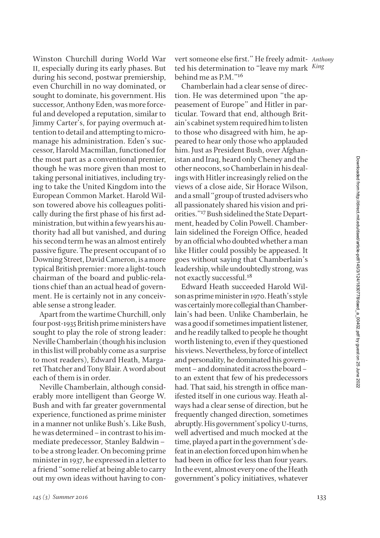Winston Churchill during World War II, especially during its early phases. But during his second, postwar premiership, even Churchill in no way dominated, or sought to dominate, his government. His successor, Anthony Eden, was more forceful and developed a reputation, similar to Jimmy Carter's, for paying overmuch attention to detail and attempting to micromanage his administration. Eden's successor, Harold Macmillan, functioned for the most part as a conventional premier, though he was more given than most to taking personal initiatives, including trying to take the United Kingdom into the European Common Market. Harold Wilson towered above his colleagues politically during the first phase of his first administration, but within a few years his authority had all but vanished, and during his second term he was an almost entirely passive figure. The present occupant of 10 Downing Street, David Cameron, is a more typical British premier: more a light-touch chairman of the board and public-relations chief than an actual head of government. He is certainly not in any conceivable sense a strong leader.

Apart from the wartime Churchill, only four post-1935 British prime ministers have sought to play the role of strong leader: Neville Chamberlain (though his inclusion in this list will probably come as a surprise to most readers), Edward Heath, Margaret Thatcher and Tony Blair. A word about each of them is in order.

Neville Chamberlain, although considerably more intelligent than George W. Bush and with far greater governmental experience, functioned as prime minister in a manner not unlike Bush's. Like Bush, he was determined–in contrast to his immediate predecessor, Stanley Baldwin– to be a strong leader. On becoming prime minister in 1937, he expressed in a letter to a friend "some relief at being able to carry out my own ideas without having to con-

vert someone else first." He freely admit- Anthony *King* ted his determination to "leave my mark behind me as P.M."<sup>16</sup>

Chamberlain had a clear sense of direction. He was determined upon "the appeasement of Europe" and Hitler in particular. Toward that end, although Britain's cabinet system required him to listen to those who disagreed with him, he appeared to hear only those who applauded him. Just as President Bush, over Afghanistan and Iraq, heard only Cheney and the other neocons, so Chamberlain in his dealings with Hitler increasingly relied on the views of a close aide, Sir Horace Wilson, and a small "group of trusted advisers who all passionately shared his vision and priorities."17 Bush sidelined the State Department, headed by Colin Powell. Chamberlain sidelined the Foreign Office, headed by an official who doubted whether a man like Hitler could possibly be appeased. It goes without saying that Chamberlain's leadership, while undoubtedly strong, was not exactly successful.<sup>18</sup>

Edward Heath succeeded Harold Wilson as prime minister in 1970. Heath's style was certainly more collegial than Chamberlain's had been. Unlike Chamberlain, he was a good if sometimes impatient listener, and he readily talked to people he thought worth listening to, even if they questioned his views. Nevertheless, by force of intellect and personality, he dominated his government–and dominated it across the board– to an extent that few of his predecessors had. That said, his strength in office manifested itself in one curious way. Heath always had a clear sense of direction, but he frequently changed direction, sometimes abruptly. His government's policy U-turns, well advertised and much mocked at the time, played a part in the government's defeat in an election forced upon him when he had been in office for less than four years. In the event, almost every one of the Heath government's policy initiatives, whatever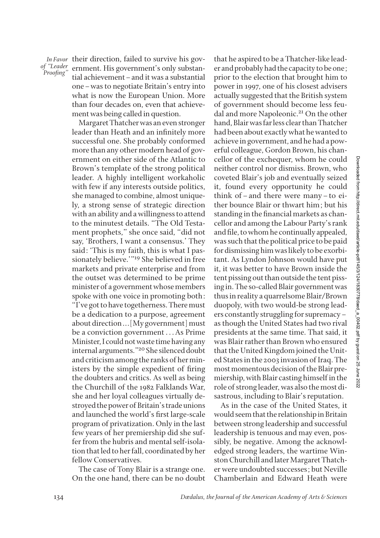*In Favor*  their direction, failed to survive his govof "Leader, ernment. His government's only substantial achievement–and it was a substantial one–was to negotiate Britain's entry into what is now the European Union. More than four decades on, even that achievement was being called in question.

Margaret Thatcher was an even stronger leader than Heath and an infinitely more successful one. She probably conformed more than any other modern head of government on either side of the Atlantic to Brown's template of the strong political leader. A highly intelligent workaholic with few if any interests outside politics, she managed to combine, almost uniquely, a strong sense of strategic direction with an ability and a willingness to attend to the minutest details. "The Old Testament prophets," she once said, "did not say, 'Brothers, I want a consensus.' They said: 'This is my faith, this is what I passionately believe.'"19 She believed in free markets and private enterprise and from the outset was determined to be prime minister of a government whose members spoke with one voice in promoting both: "I've got to have togetherness. There must be a dedication to a purpose, agreement about direction ... [My government] must be a conviction government . . . As Prime Minister, I could not waste time having any internal arguments."20 She silenced doubt and criticism among the ranks of her ministers by the simple expedient of firing the doubters and critics. As well as being the Churchill of the 1982 Falklands War, she and her loyal colleagues virtually destroyed the power of Britain's trade unions and launched the world's first large-scale program of privatization. Only in the last few years of her premiership did she suffer from the hubris and mental self-isolation that led to her fall, coordinated by her fellow Conservatives.

The case of Tony Blair is a strange one. On the one hand, there can be no doubt that he aspired to be a Thatcher-like leader and probably had the capacity to be one; prior to the election that brought him to power in 1997, one of his closest advisers actually suggested that the British system of government should become less feudal and more Napoleonic.<sup>21</sup> On the other hand, Blair was far less clear than Thatcher had been about exactly what he wanted to achieve in government, and he had a powerful colleague, Gordon Brown, his chancellor of the exchequer, whom he could neither control nor dismiss. Brown, who coveted Blair's job and eventually seized it, found every opportunity he could think of–and there were many–to either bounce Blair or thwart him; but his standing in the financial markets as chancellor and among the Labour Party's rank and file, to whom he continually appealed, was such that the political price to be paid for dismissing him was likely to be exorbitant. As Lyndon Johnson would have put it, it was better to have Brown inside the tent pissing out than outside the tent pissing in. The so-called Blair government was thus in reality a quarrelsome Blair/Brown duopoly, with two would-be strong leaders constantly struggling for supremacy– as though the United States had two rival presidents at the same time. That said, it was Blair rather than Brown who ensured that the United Kingdom joined the United States in the 2003 invasion of Iraq. The most momentous decision of the Blair premiership, with Blair casting himself in the role of strong leader, was also the most disastrous, including to Blair's reputation.

As in the case of the United States, it would seem that the relationship in Britain between strong leadership and successful leadership is tenuous and may even, possibly, be negative. Among the acknowledged strong leaders, the wartime Winston Churchill and later Margaret Thatcher were undoubted successes; but Neville Chamberlain and Edward Heath were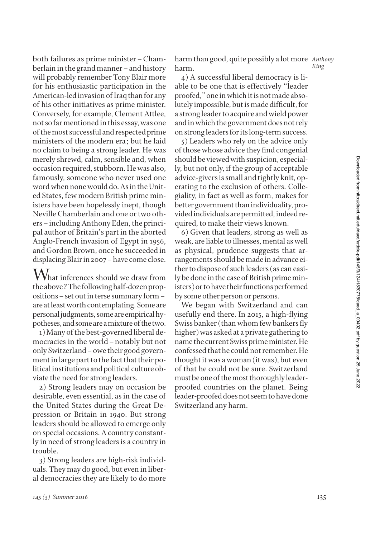both failures as prime minister–Chamberlain in the grand manner–and history will probably remember Tony Blair more for his enthusiastic participation in the American-led invasion of Iraq than for any of his other initiatives as prime minister. Conversely, for example, Clement Attlee, not so far mentioned in this essay, was one of the most successful and respected prime ministers of the modern era; but he laid no claim to being a strong leader. He was merely shrewd, calm, sensible and, when occasion required, stubborn. He was also, famously, someone who never used one word when none would do. As in the United States, few modern British prime ministers have been hopelessly inept, though Neville Chamberlain and one or two others–including Anthony Eden, the principal author of Britain's part in the aborted Anglo-French invasion of Egypt in 1956, and Gordon Brown, once he succeeded in displacing Blair in 2007–have come close.

hat inferences should we draw from the above? The following half-dozen propositions–set out in terse summary form– are at least worth contemplating. Some are personal judgments, some are empirical hypotheses, and some are a mixture of the two.

1) Many of the best-governed liberal democracies in the world–notably but not only Switzerland–owe their good government in large part to the fact that their political institutions and political culture obviate the need for strong leaders.

2) Strong leaders may on occasion be desirable, even essential, as in the case of the United States during the Great Depression or Britain in 1940. But strong leaders should be allowed to emerge only on special occasions. A country constantly in need of strong leaders is a country in trouble.

3) Strong leaders are high-risk individuals. They may do good, but even in liberal democracies they are likely to do more

*145 (3) Summer 2016* 135

harm than good, quite possibly a lot more Anthony harm.

*King*

4) A successful liberal democracy is liable to be one that is effectively "leader proofed," one in which it is not made absolutely impossible, but is made difficult, for a strong leader to acquire and wield power and in which the government does not rely on strong leaders for its long-term success.

5) Leaders who rely on the advice only of those whose advice they find congenial should be viewed with suspicion, especially, but not only, if the group of acceptable advice-givers is small and tightly knit, operating to the exclusion of others. Collegiality, in fact as well as form, makes for better government than individuality, provided individuals are permitted, indeed required, to make their views known.

6) Given that leaders, strong as well as weak, are liable to illnesses, mental as well as physical, prudence suggests that arrangements should be made in advance either to dispose of such leaders (as can easily be done in the case of British prime ministers) or to have their functions performed by some other person or persons.

We began with Switzerland and can usefully end there. In 2015, a high-flying Swiss banker (than whom few bankers fly higher) was asked at a private gathering to name the current Swiss prime minister. He confessed that he could not remember. He thought it was a woman (it was), but even of that he could not be sure. Switzerland must be one of the most thoroughly leaderproofed countries on the planet. Being leader-proofed does not seem to have done Switzerland any harm.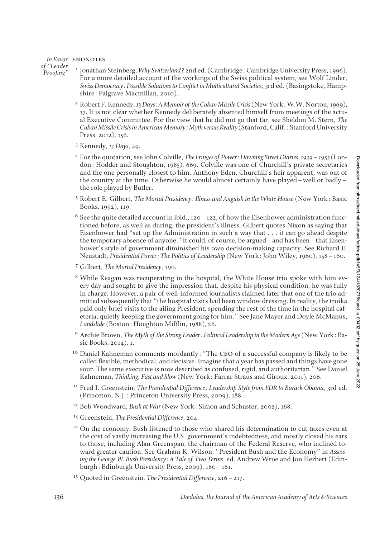## In Favor ENDNOTES

*of "Leader Proofing"*

- <sup>1</sup> Jonathan Steinberg, *Why Switzerland?* 2nd ed. (Cambridge: Cambridge University Press, 1996). For a more detailed account of the workings of the Swiss political system, see Wolf Linder, *Swiss Democracy: Possible Solutions to Conflict in Multicultural Societies*, 3rd ed. (Basingstoke, Hampshire: Palgrave Macmillan, 2010).
	- <sup>2</sup> Robert F. Kennedy, *13 Days: A Memoir of the Cuban Missile Crisis* (New York: W.W. Norton, 1969), 37. It is not clear whether Kennedy deliberately absented himself from meetings of the actual Executive Committee. For the view that he did not go that far, see Sheldon M. Stern, *The Cuban Missile Crisis in American Memory: Myth versus Reality* (Stanford, Calif.: Stanford University Press, 2012), 156.
	- <sup>3</sup> Kennedy, *13 Days*, 49.
	- <sup>4</sup> For the quotation, see John Colville, *The Fringes of Power: Downing Street Diaries, 1939–1955* (London: Hodder and Stoughton, 1985), 669. Colville was one of Churchill's private secretaries and the one personally closest to him. Anthony Eden, Churchill's heir apparent, was out of the country at the time. Otherwise he would almost certainly have played–well or badly– the role played by Butler.
	- <sup>5</sup> Robert E. Gilbert, *The Mortal Presidency: Illness and Anguish in the White House* (New York: Basic Books, 1992), 119.
	- $6$  See the quite detailed account in ibid., 120 122, of how the Eisenhower administration functioned before, as well as during, the president's illness. Gilbert quotes Nixon as saying that Eisenhower had "set up the Administration in such a way that . . . it can go ahead despite the temporary absence of anyone." It could, of course, be argued–and has been–that Eisenhower's style of government diminished his own decision-making capacity. See Richard E. Neustadt, *Presidential Power: The Politics of Leadership* (New York: John Wiley, 1960), 158–160.
	- <sup>7</sup> Gilbert, *The Mortal Presidency*, 190.
	- <sup>8</sup> While Reagan was recuperating in the hospital, the White House trio spoke with him every day and sought to give the impression that, despite his physical condition, he was fully in charge. However, a pair of well-informed journalists claimed later that one of the trio admitted subsequently that "the hospital visits had been window dressing. In reality, the troika paid only brief visits to the ailing President, spending the rest of the time in the hospital cafeteria, quietly keeping the government going for him." See Jane Mayer and Doyle McManus, *Landslide* (Boston: Houghton Mifflin, 1988), 26.
- <sup>9</sup> Archie Brown, *The Myth of the Strong Leader: Political Leadership in the Modern Age* (New York: Basic Books, 2014), 1.
- <sup>10</sup> Daniel Kahneman comments mordantly: "The CEO of a successful company is likely to be called flexible, methodical, and decisive. Imagine that a year has passed and things have gone sour. The same executive is now described as confused, rigid, and authoritarian." See Daniel Kahneman, *Thinking, Fast and Slow* (New York: Farrar Straus and Giroux, 2011), 206.
- <sup>11</sup> Fred I. Greenstein, *The Presidential Difference: Leadership Style from FDR to Barack Obama*, 3rd ed. (Princeton, N.J.: Princeton University Press, 2009), 188.
- <sup>12</sup> Bob Woodward, *Bush at War* (New York: Simon and Schuster, 2002), 168.
- <sup>13</sup> Greenstein, *The Presidential Difference*, 204.
- <sup>14</sup> On the economy, Bush listened to those who shared his determination to cut taxes even at the cost of vastly increasing the U.S. government's indebtedness, and mostly closed his ears to those, including Alan Greenspan, the chairman of the Federal Reserve, who inclined toward greater caution. See Graham K. Wilson, "President Bush and the Economy" in *Assessing the George W. Bush Presidency: A Tale of Two Terms*, ed. Andrew Wroe and Jon Herbert (Edinburgh: Edinburgh University Press, 2009), 160–161.
- <sup>15</sup> Quoted in Greenstein, *The Presidential Difference*, 216–217.